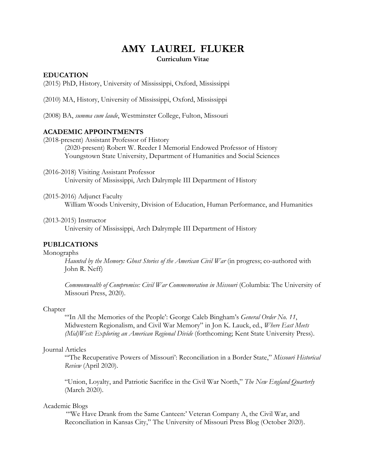# **AMY LAUREL FLUKER Curriculum Vitae**

#### **EDUCATION**

(2015) PhD, History, University of Mississippi, Oxford, Mississippi

(2010) MA, History, University of Mississippi, Oxford, Mississippi

(2008) BA, *summa cum laude*, Westminster College, Fulton, Missouri

# **ACADEMIC APPOINTMENTS**

(2018-present) Assistant Professor of History (2020-present) Robert W. Reeder I Memorial Endowed Professor of History Youngstown State University, Department of Humanities and Social Sciences

(2016-2018) Visiting Assistant Professor University of Mississippi, Arch Dalrymple III Department of History

(2015-2016) Adjunct Faculty

William Woods University, Division of Education, Human Performance, and Humanities

(2013-2015) Instructor

University of Mississippi, Arch Dalrymple III Department of History

### **PUBLICATIONS**

#### Monographs

*Haunted by the Memory: Ghost Stories of the American Civil War* (in progress; co-authored with John R. Neff)

*Commonwealth of Compromise: Civil War Commemoration in Missouri* (Columbia: The University of Missouri Press, 2020).

#### Chapter

"'In All the Memories of the People': George Caleb Bingham's *General Order No. 11*, Midwestern Regionalism, and Civil War Memory" in Jon K. Lauck, ed., *Where East Meets (Mid)West: Exploring an American Regional Divide* (forthcoming; Kent State University Press).

#### Journal Articles

"'The Recuperative Powers of Missouri': Reconciliation in a Border State," *Missouri Historical Review* (April 2020).

"Union, Loyalty, and Patriotic Sacrifice in the Civil War North," *The New England Quarterly*  (March 2020).

#### Academic Blogs

"We Have Drank from the Same Canteen:' Veteran Company A, the Civil War, and Reconciliation in Kansas City," The University of Missouri Press Blog (October 2020).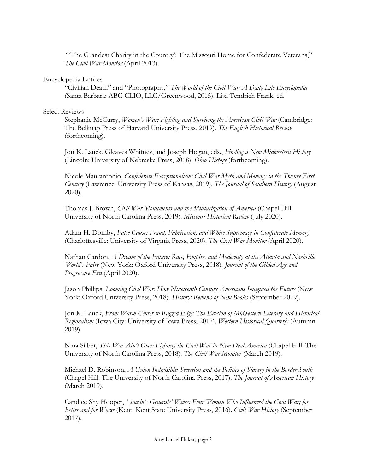"'The Grandest Charity in the Country': The Missouri Home for Confederate Veterans," *The Civil War Monitor* (April 2013).

# Encyclopedia Entries

"Civilian Death" and "Photography," *The World of the Civil War: A Daily Life Encyclopedia* (Santa Barbara: ABC-CLIO, LLC/Greenwood, 2015). Lisa Tendrich Frank, ed.

# Select Reviews

Stephanie McCurry, *Women's War: Fighting and Surviving the American Civil War (Cambridge:* The Belknap Press of Harvard University Press, 2019). *The English Historical Review*  (forthcoming).

Jon K. Lauck, Gleaves Whitney, and Joseph Hogan, eds., *Finding a New Midwestern History* (Lincoln: University of Nebraska Press, 2018). *Ohio History* (forthcoming).

Nicole Maurantonio, *Confederate Exceptionalism: Civil War Myth and Memory in the Twenty-First Century* (Lawrence: University Press of Kansas, 2019). *The Journal of Southern History* (August 2020).

Thomas J. Brown, *Civil War Monuments and the Militarization of America* (Chapel Hill: University of North Carolina Press, 2019). *Missouri Historical Review* (July 2020).

Adam H. Domby, *False Cause: Fraud, Fabrication, and White Supremacy in Confederate Memory*  (Charlottesville: University of Virginia Press, 2020). *The Civil War Monitor* (April 2020).

Nathan Cardon, *A Dream of the Future: Race, Empire, and Modernity at the Atlanta and Nashville World's Fairs* (New York: Oxford University Press, 2018). *Journal of the Gilded Age and Progressive Era* (April 2020).

Jason Phillips, *Looming Civil War: How Nineteenth Century Americans Imagined the Future* (New York: Oxford University Press, 2018). *History: Reviews of New Books* (September 2019).

Jon K. Lauck, *From Warm Center to Ragged Edge: The Erosion of Midwestern Literary and Historical Regionalism* (Iowa City: University of Iowa Press, 2017). *Western Historical Quarterly* (Autumn 2019).

Nina Silber, *This War Ain't Over: Fighting the Civil War in New Deal America* (Chapel Hill: The University of North Carolina Press, 2018). *The Civil War Monitor* (March 2019).

Michael D. Robinson, *A Union Indivisible: Secession and the Politics of Slavery in the Border South*  (Chapel Hill: The University of North Carolina Press, 2017). *The Journal of American History*  (March 2019).

Candice Shy Hooper, *Lincoln's Generals' Wives: Four Women Who Influenced the Civil War; for Better and for Worse* (Kent: Kent State University Press, 2016). *Civil War History* (September 2017).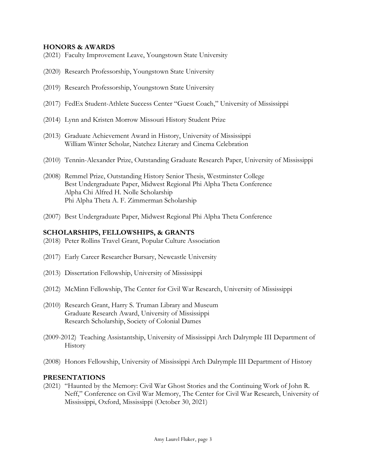# **HONORS & AWARDS**

- (2021) Faculty Improvement Leave, Youngstown State University
- (2020) Research Professorship, Youngstown State University
- (2019) Research Professorship, Youngstown State University
- (2017) FedEx Student-Athlete Success Center "Guest Coach," University of Mississippi
- (2014) Lynn and Kristen Morrow Missouri History Student Prize
- (2013) Graduate Achievement Award in History, University of Mississippi William Winter Scholar, Natchez Literary and Cinema Celebration
- (2010) Tennin-Alexander Prize, Outstanding Graduate Research Paper, University of Mississippi
- (2008) Remmel Prize, Outstanding History Senior Thesis, Westminster College Best Undergraduate Paper, Midwest Regional Phi Alpha Theta Conference Alpha Chi Alfred H. Nolle Scholarship Phi Alpha Theta A. F. Zimmerman Scholarship
- (2007) Best Undergraduate Paper, Midwest Regional Phi Alpha Theta Conference

#### **SCHOLARSHIPS, FELLOWSHIPS, & GRANTS**

- (2018) Peter Rollins Travel Grant, Popular Culture Association
- (2017) Early Career Researcher Bursary, Newcastle University
- (2013) Dissertation Fellowship, University of Mississippi
- (2012) McMinn Fellowship, The Center for Civil War Research, University of Mississippi
- (2010) Research Grant, Harry S. Truman Library and Museum Graduate Research Award, University of Mississippi Research Scholarship, Society of Colonial Dames
- (2009-2012) Teaching Assistantship, University of Mississippi Arch Dalrymple III Department of History
- (2008) Honors Fellowship, University of Mississippi Arch Dalrymple III Department of History

#### **PRESENTATIONS**

(2021) "Haunted by the Memory: Civil War Ghost Stories and the Continuing Work of John R. Neff," Conference on Civil War Memory, The Center for Civil War Research, University of Mississippi, Oxford, Mississippi (October 30, 2021)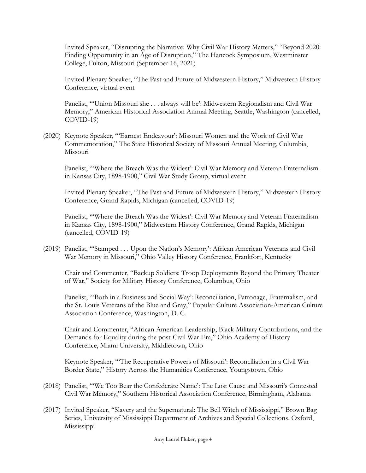Invited Speaker, "Disrupting the Narrative: Why Civil War History Matters," "Beyond 2020: Finding Opportunity in an Age of Disruption," The Hancock Symposium, Westminster College, Fulton, Missouri (September 16, 2021)

Invited Plenary Speaker, "The Past and Future of Midwestern History," Midwestern History Conference, virtual event

Panelist, "'Union Missouri she . . . always will be': Midwestern Regionalism and Civil War Memory," American Historical Association Annual Meeting, Seattle, Washington (cancelled, COVID-19)

(2020) Keynote Speaker, "'Earnest Endeavour': Missouri Women and the Work of Civil War Commemoration," The State Historical Society of Missouri Annual Meeting, Columbia, Missouri

Panelist, "'Where the Breach Was the Widest': Civil War Memory and Veteran Fraternalism in Kansas City, 1898-1900," Civil War Study Group, virtual event

Invited Plenary Speaker, "The Past and Future of Midwestern History," Midwestern History Conference, Grand Rapids, Michigan (cancelled, COVID-19)

Panelist, "'Where the Breach Was the Widest': Civil War Memory and Veteran Fraternalism in Kansas City, 1898-1900," Midwestern History Conference, Grand Rapids, Michigan (cancelled, COVID-19)

(2019) Panelist, "'Stamped . . . Upon the Nation's Memory': African American Veterans and Civil War Memory in Missouri," Ohio Valley History Conference, Frankfort, Kentucky

Chair and Commenter, "Backup Soldiers: Troop Deployments Beyond the Primary Theater of War," Society for Military History Conference, Columbus, Ohio

Panelist, "'Both in a Business and Social Way': Reconciliation, Patronage, Fraternalism, and the St. Louis Veterans of the Blue and Gray," Popular Culture Association-American Culture Association Conference, Washington, D. C.

Chair and Commenter, "African American Leadership, Black Military Contributions, and the Demands for Equality during the post-Civil War Era," Ohio Academy of History Conference, Miami University, Middletown, Ohio

Keynote Speaker, "'The Recuperative Powers of Missouri': Reconciliation in a Civil War Border State," History Across the Humanities Conference, Youngstown, Ohio

- (2018) Panelist, "'We Too Bear the Confederate Name': The Lost Cause and Missouri's Contested Civil War Memory," Southern Historical Association Conference, Birmingham, Alabama
- (2017) Invited Speaker, "Slavery and the Supernatural: The Bell Witch of Mississippi," Brown Bag Series, University of Mississippi Department of Archives and Special Collections, Oxford, Mississippi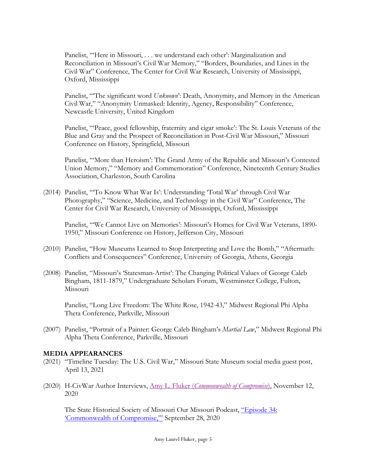Panelist, "'Here in Missouri, . . . we understand each other': Marginalization and Reconciliation in Missouri's Civil War Memory," "Borders, Boundaries, and Lines in the Civil War" Conference, The Center for Civil War Research, University of Mississippi, Oxford, Mississippi

Panelist, "'The significant word *Unknown*': Death, Anonymity, and Memory in the American Civil War," "Anonymity Unmasked: Identity, Agency, Responsibility" Conference, Newcastle University, United Kingdom

Panelist, "'Peace, good fellowship, fraternity and cigar smoke': The St. Louis Veterans of the Blue and Gray and the Prospect of Reconciliation in Post-Civil War Missouri," Missouri Conference on History, Springfield, Missouri

Panelist, "'More than Heroism': The Grand Army of the Republic and Missouri's Contested Union Memory," "Memory and Commemoration" Conference, Nineteenth Century Studies Association, Charleston, South Carolina

(2014) Panelist, "'To Know What War Is': Understanding 'Total War' through Civil War Photography," "Science, Medicine, and Technology in the Civil War" Conference, The Center for Civil War Research, University of Mississippi, Oxford, Mississippi

Panelist, "'We Cannot Live on Memories': Missouri's Homes for Civil War Veterans, 1890- 1950," Missouri Conference on History, Jefferson City, Missouri

- (2010) Panelist, "How Museums Learned to Stop Interpreting and Love the Bomb," "Aftermath: Conflicts and Consequences" Conference, University of Georgia, Athens, Georgia
- (2008) Panelist, "Missouri's 'Statesman-Artist': The Changing Political Values of George Caleb Bingham, 1811-1879," Undergraduate Scholars Forum, Westminster College, Fulton, Missouri

Panelist, "Long Live Freedom: The White Rose, 1942-43," Midwest Regional Phi Alpha Theta Conference, Parkville, Missouri

(2007) Panelist, "Portrait of a Painter: George Caleb Bingham's *Martial Law*," Midwest Regional Phi Alpha Theta Conference, Parkville, Missouri

# **MEDIA APPEARANCES**

- (2021) "Timeline Tuesday: The U.S. Civil War," Missouri State Museum social media guest post, April 13, 2021
- (2020) H-CivWar Author Interviews, Amy L. Fluker (*Commonwealth of Compromise*), November 12, 2020

The State Historical Society of Missouri Our Missouri Podcast, "Episode 34: 'Commonwealth of Compromise,'" September 28, 2020